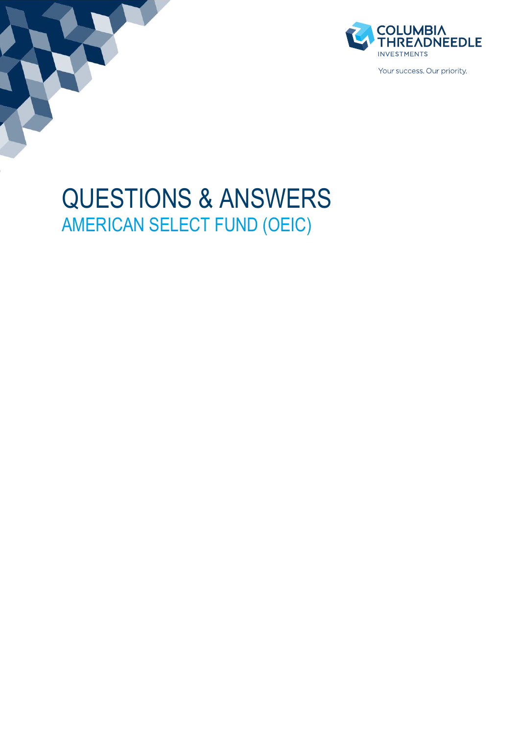



# QUESTIONS & ANSWERS AMERICAN SELECT FUND (OEIC)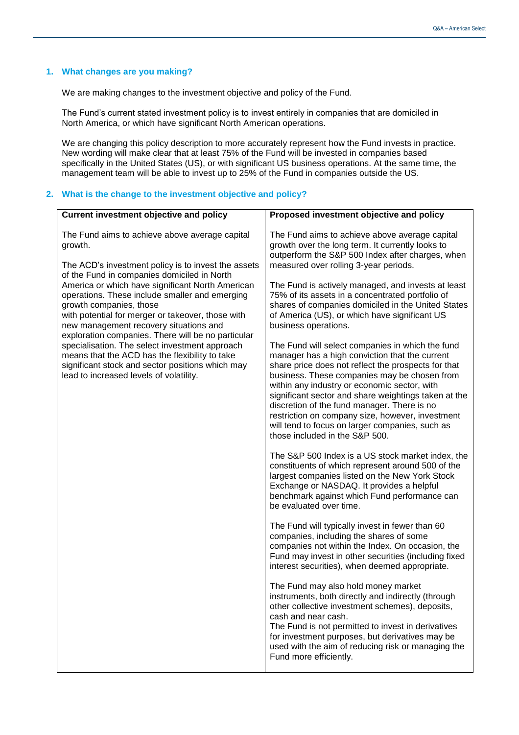# **1. What changes are you making?**

We are making changes to the investment objective and policy of the Fund.

The Fund's current stated investment policy is to invest entirely in companies that are domiciled in North America, or which have significant North American operations.

We are changing this policy description to more accurately represent how the Fund invests in practice. New wording will make clear that at least 75% of the Fund will be invested in companies based specifically in the United States (US), or with significant US business operations. At the same time, the management team will be able to invest up to 25% of the Fund in companies outside the US.

#### **2. What is the change to the investment objective and policy?**

| <b>Current investment objective and policy</b>                                                                                                                                                                                                                                                                                                                                                                                                                                                                                                                                                                                                           | Proposed investment objective and policy                                                                                                                                                                                                                                                                                                                                                                                                                                                                                                                                                                                                                                                                                                                      |
|----------------------------------------------------------------------------------------------------------------------------------------------------------------------------------------------------------------------------------------------------------------------------------------------------------------------------------------------------------------------------------------------------------------------------------------------------------------------------------------------------------------------------------------------------------------------------------------------------------------------------------------------------------|---------------------------------------------------------------------------------------------------------------------------------------------------------------------------------------------------------------------------------------------------------------------------------------------------------------------------------------------------------------------------------------------------------------------------------------------------------------------------------------------------------------------------------------------------------------------------------------------------------------------------------------------------------------------------------------------------------------------------------------------------------------|
| The Fund aims to achieve above average capital<br>growth.<br>The ACD's investment policy is to invest the assets<br>of the Fund in companies domiciled in North<br>America or which have significant North American<br>operations. These include smaller and emerging<br>growth companies, those<br>with potential for merger or takeover, those with<br>new management recovery situations and<br>exploration companies. There will be no particular<br>specialisation. The select investment approach<br>means that the ACD has the flexibility to take<br>significant stock and sector positions which may<br>lead to increased levels of volatility. | The Fund aims to achieve above average capital<br>growth over the long term. It currently looks to<br>outperform the S&P 500 Index after charges, when<br>measured over rolling 3-year periods.<br>The Fund is actively managed, and invests at least<br>75% of its assets in a concentrated portfolio of<br>shares of companies domiciled in the United States<br>of America (US), or which have significant US<br>business operations.<br>The Fund will select companies in which the fund<br>manager has a high conviction that the current<br>share price does not reflect the prospects for that<br>business. These companies may be chosen from<br>within any industry or economic sector, with<br>significant sector and share weightings taken at the |
|                                                                                                                                                                                                                                                                                                                                                                                                                                                                                                                                                                                                                                                          | discretion of the fund manager. There is no<br>restriction on company size, however, investment<br>will tend to focus on larger companies, such as<br>those included in the S&P 500.                                                                                                                                                                                                                                                                                                                                                                                                                                                                                                                                                                          |
|                                                                                                                                                                                                                                                                                                                                                                                                                                                                                                                                                                                                                                                          | The S&P 500 Index is a US stock market index, the<br>constituents of which represent around 500 of the<br>largest companies listed on the New York Stock<br>Exchange or NASDAQ. It provides a helpful<br>benchmark against which Fund performance can<br>be evaluated over time.                                                                                                                                                                                                                                                                                                                                                                                                                                                                              |
|                                                                                                                                                                                                                                                                                                                                                                                                                                                                                                                                                                                                                                                          | The Fund will typically invest in fewer than 60<br>companies, including the shares of some<br>companies not within the Index. On occasion, the<br>Fund may invest in other securities (including fixed<br>interest securities), when deemed appropriate.                                                                                                                                                                                                                                                                                                                                                                                                                                                                                                      |
|                                                                                                                                                                                                                                                                                                                                                                                                                                                                                                                                                                                                                                                          | The Fund may also hold money market<br>instruments, both directly and indirectly (through<br>other collective investment schemes), deposits,<br>cash and near cash.<br>The Fund is not permitted to invest in derivatives<br>for investment purposes, but derivatives may be<br>used with the aim of reducing risk or managing the<br>Fund more efficiently.                                                                                                                                                                                                                                                                                                                                                                                                  |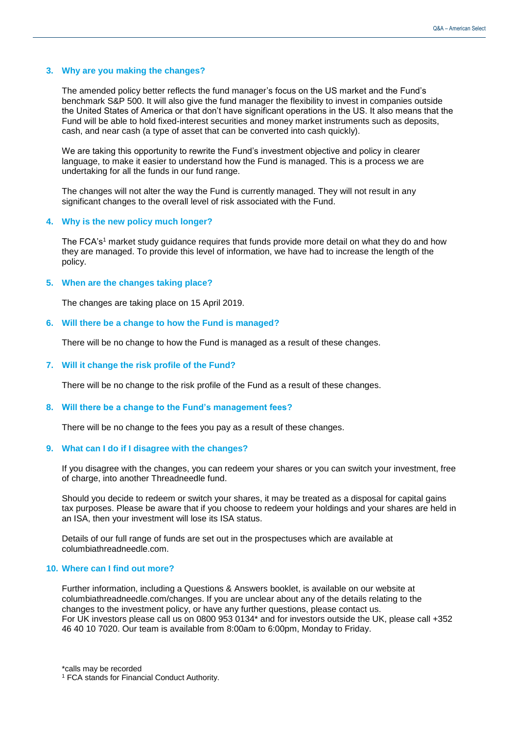#### **3. Why are you making the changes?**

The amended policy better reflects the fund manager's focus on the US market and the Fund's benchmark S&P 500. It will also give the fund manager the flexibility to invest in companies outside the United States of America or that don't have significant operations in the US. It also means that the Fund will be able to hold fixed-interest securities and money market instruments such as deposits, cash, and near cash (a type of asset that can be converted into cash quickly).

We are taking this opportunity to rewrite the Fund's investment objective and policy in clearer language, to make it easier to understand how the Fund is managed. This is a process we are undertaking for all the funds in our fund range.

The changes will not alter the way the Fund is currently managed. They will not result in any significant changes to the overall level of risk associated with the Fund.

#### **4. Why is the new policy much longer?**

The FCA's<sup>1</sup> market study guidance requires that funds provide more detail on what they do and how they are managed. To provide this level of information, we have had to increase the length of the policy.

### **5. When are the changes taking place?**

The changes are taking place on 15 April 2019.

#### **6. Will there be a change to how the Fund is managed?**

There will be no change to how the Fund is managed as a result of these changes.

#### **7. Will it change the risk profile of the Fund?**

There will be no change to the risk profile of the Fund as a result of these changes.

#### **8. Will there be a change to the Fund's management fees?**

There will be no change to the fees you pay as a result of these changes.

#### **9. What can I do if I disagree with the changes?**

If you disagree with the changes, you can redeem your shares or you can switch your investment, free of charge, into another Threadneedle fund.

Should you decide to redeem or switch your shares, it may be treated as a disposal for capital gains tax purposes. Please be aware that if you choose to redeem your holdings and your shares are held in an ISA, then your investment will lose its ISA status.

Details of our full range of funds are set out in the prospectuses which are available at columbiathreadneedle.com.

# **10. Where can I find out more?**

Further information, including a Questions & Answers booklet, is available on our website at columbiathreadneedle.com/changes. If you are unclear about any of the details relating to the changes to the investment policy, or have any further questions, please contact us. For UK investors please call us on 0800 953 0134\* and for investors outside the UK, please call +352 46 40 10 7020. Our team is available from 8:00am to 6:00pm, Monday to Friday.

\*calls may be recorded

<sup>1</sup> FCA stands for Financial Conduct Authority.